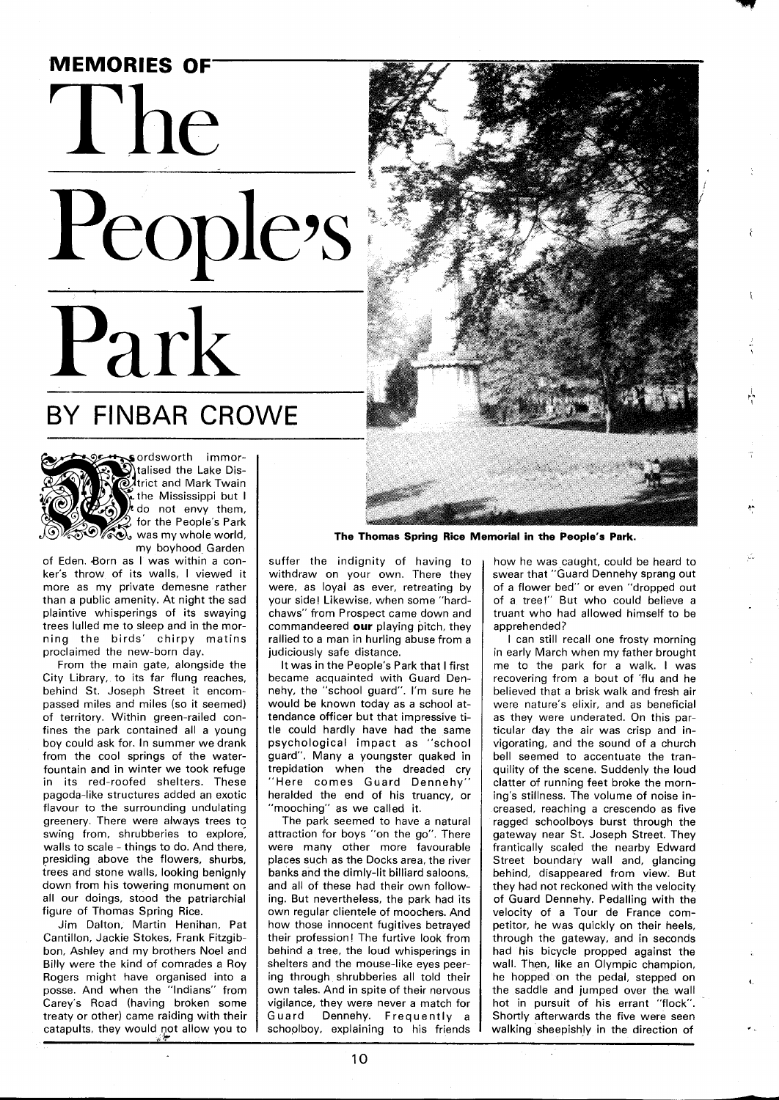

## BY FINBAR CROWE



ordsworth immortalised the Lake Dis-**O**ttrict and Mark Twain the Mississippi but I do not envy them, for the People's Park was my whole world, **MAC**, was my whole world,<br>my boyhood Garden

of Eden. Born as I was within a conker's throw of its walls, I viewed it more as my private demesne rather than a public amenity. At night the sad plaintive whisperings of its swaying trees lulled me to sleep and in the morning the birds' chirpy matins proclaimed the new-born day.

From the main gate, alongside the City Library, to its far flung reaches, behind St. Joseph Street it encompassed miles and miles (so it seemed) of territory. Within green-railed confines the park contained all a young boy could ask for. In summer we drank from the cool springs of the waterfountain and in winter we took refuge in its red-roofed shelters. These pagoda-like structures added an exotic flavour to the surrounding undulating greenery. There were always trees to swing from, shrubberies to explore, walls to scale - things to do. And there, presiding above the flowers, shurbs, trees and stone walls, looking benignly down from his towering monument on all our doings, stood the patriarchial figure of Thomas Spring Rice.

Jim Dalton, Martin Henihan, Pat Cantillon, Jackie Stokes, Frank Fitzgibbon, Ashley and my brothers Noel and Billy were the kind of comrades a Roy Rogers might have organised into a posse. And when the "Indians" from Carey's Road (having broken some treaty or other) came raiding with their catapults, they would not allow you to



**The Thomas Spring Rice Memorial in the People's Park.** 

suffer the indignity of having to withdraw on your own. There they were, as loyal as ever, retreating by your side! Likewise, when some "hardchaws" from Prospect came down and commandeered **our** playing pitch, they rallied to a man in hurling abuse from a judiciously safe distance.

It was in the People's Park that I first became acquainted with Guard Dennehy, the "school guard". I'm sure he would be known today as a school attendance officer but that impressive title could hardly have had the same psychological impact as "school guard". Many a youngster quaked in trepidation when the dreaded cry "Here comes Guard Dennehy" heralded the end of his truancy, or 'mooching" as we called it.

The park seemed to have a natural attraction for boys "on the go". There were many other more favourable places such as the Docks area, the river banks and the dimly-lit billiard saloons, and all of these had their own following. But nevertheless, the park had its own regular clientele of moochers. And how those innocent fugitives betrayed their profession! The furtive look from behind a tree, the loud whisperings in shelters and the mouse-like eyes peering through shrubberies all told their own tales. And in spite of their nervous vigilance, they were never a match for Guard Dennehy. Frequently a schoolboy, explaining to his friends

how he was caught, could be heard to swear that "Guard Dennehy sprang out of a flower bed" or even "dropped out of a tree!" But who could believe a truant who had allowed himself to be apprehended?

I can still recall one frosty morning in early March when my father brought me to the park for a walk. I was recovering from a bout of 'flu and he believed that a brisk walk and fresh air were nature's elixir, and as beneficial as they were underated. On this particular day the air was crisp and invigorating, and the sound of a church bell seemed to accentuate the tranquility of the scene. Suddenly the loud clatter of running feet broke the morning's stillness. The volume of noise increased, reaching a crescendo as five ragged schoolboys burst through the gateway near St. Joseph Street. They frantically scaled the nearby Edward Street boundary wall and, glancing behind, disappeared from view. But they had not reckoned with the velocity of Guard Dennehy. Pedalling with the velocity of a Tour de France competitor, he was quickly on their heels, through the gateway, and in seconds had his bicycle propped against the wall. Then, like an Olympic champion, he hopped on the pedal, stepped on the saddle and jumped over the wall hot in pursuit of his errant "flock". Shortly afterwards the five were seen walking sheepishly in the direction of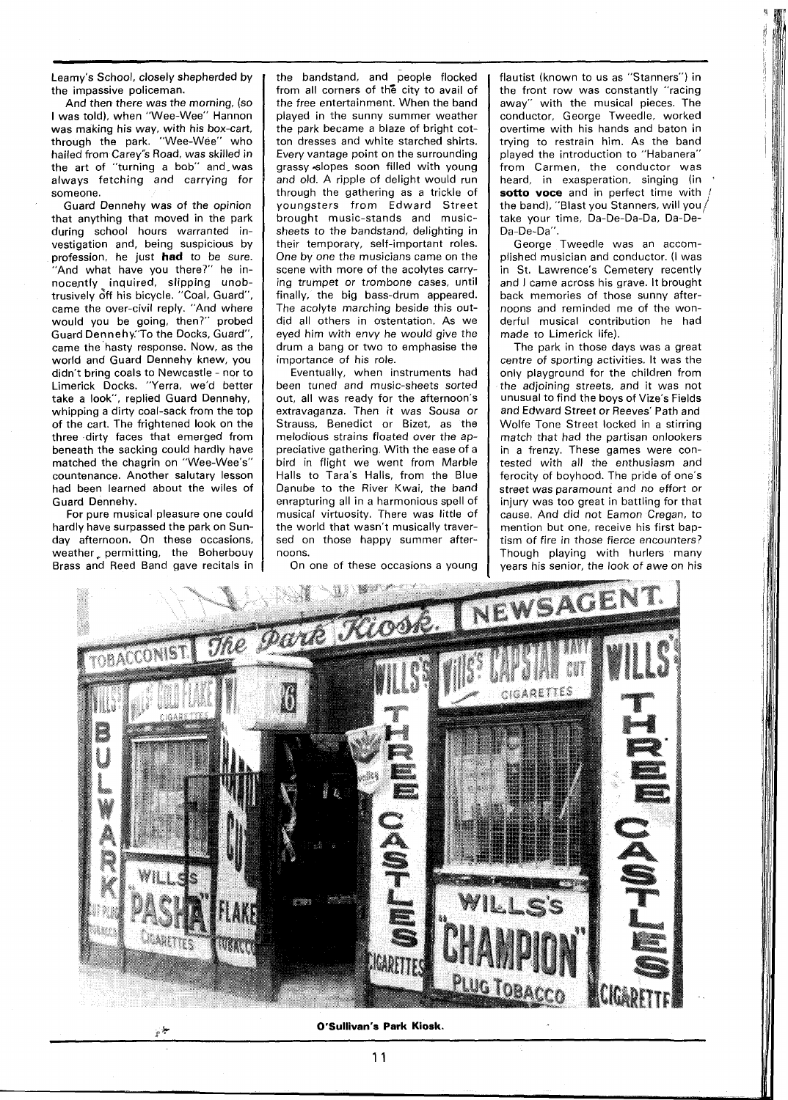Leamy's School, closely shepherded by the impassive policeman.

And then there was the morning, (so I was told), when "Wee-Wee" Hannon was making his way, with his box-cart, through the park. "Wee-Wee" who hailed from Carey's Road, was skilled in the art of "turning a bob" and was always fetching and carrying for someone.

Guard Dennehy was of the opinion that anything that moved in the park during school hours warranted investigation and, being suspicious by profession, he just **had** to be sure. "And what have you there?" he innocently inquired, slipping unobtrusively off his bicycle. "Coal, Guard", came the over-civil reply. "And where would you be going, then?" probed Guard Dennehy:'To the Docks, Guard", came the hasty response. Now, as the world and Guard Dennehy knew, you didn't bring coals to Newcastle - nor to Limerick Docks. "Yerra, we'd better take a look", replied Guard Dennehy, whipping a dirty coal-sack from the top of the cart. The frightened look on the three dirty faces that emerged from beneath the sacking could hardly have matched the chagrin on "Wee-Wee's" countenance. Another salutary lesson had been learned about the wiles of Guard Dennehy.

For pure musical pleasure one could hardly have surpassed the park on Sunday afternoon. On these occasions, weather, permitting, the Boherbouy Brass and Reed Band gave recitals in the bandstand, and people flocked from all corners of the city to avail of the free entertainment. When the band played in the sunny summer weather the park became a blaze of bright cotton dresses and white starched shirts. Every vantage point on the surrounding grassy slopes soon filled with young and old. A ripple of delight would run through the gathering as a trickle of youngsters from Edward Street brought music-stands and musicsheets to the bandstand, delighting in their temporary, self-important roles. One by one the musicians came on the scene with more of the acolytes carrying trumpet or trombone cases, until finally, the big bass-drum appeared. The acolyte marching beside this outdid all others in ostentation. As we eyed him with envy he would give the drum a bang or two to emphasise the importance of his role.

Eventually, when instruments had been tuned and music-sheets sorted out, all was ready for the afternoon's extravaganza. Then it was Sousa or Strauss, Benedict or Bizet, as the melodious strains floated over the appreciative gathering. With the ease of a bird in flight we went from Marble Halls to Tara's Halls, from the Blue Danube to the River Kwai, the band enrapturing all in a harmonious spell of musical virtuosity. There was little of the world that wasn't musically traversed on those happy summer afternoons.

On one of these occasions a young

flautist (known to us as "Stanners") in the front row was constantly "racing away" with the musical pieces. The conductor, George Tweedle, worked overtime with his hands and baton in trying to restrain him. As the band played the introduction to "Habanera" from Carmen, the conductor was heard, in exasperation, singing (in sotto voce and in perfect time with the band), "Blast you Stanners, will you  $/$ take your time, Da-De-Da-Da, Da-De-Da-De-Da".

George Tweedle was an accomplished musician and conductor. (I was in St. Lawrence's Cemetery recently and I came across his grave. It brought back memories of those sunny afternoons and reminded me of the wonderful musical contribution he had made to Limerick life).

The park in those days was a great centre of sporting activities. It was the only playground for the children from the adjoining streets, and it was not unusual to find the boys of Vize's Fields and Edward Street or Reeves' Path and Wolfe Tone Street locked in a stirring match that had the partisan onlookers in a frenzy. These games were contested with all the enthusiasm and ferocity of boyhood. The pride of one's street was paramount and no effort or injury was too great in battling for that cause. And did not Eamon Cregan, to mention but one, receive his first baptism of fire in those fierce encounters? Though playing with hurlers many years his senior, the look of awe on his



**O'Sullivan's Park Kiosk.**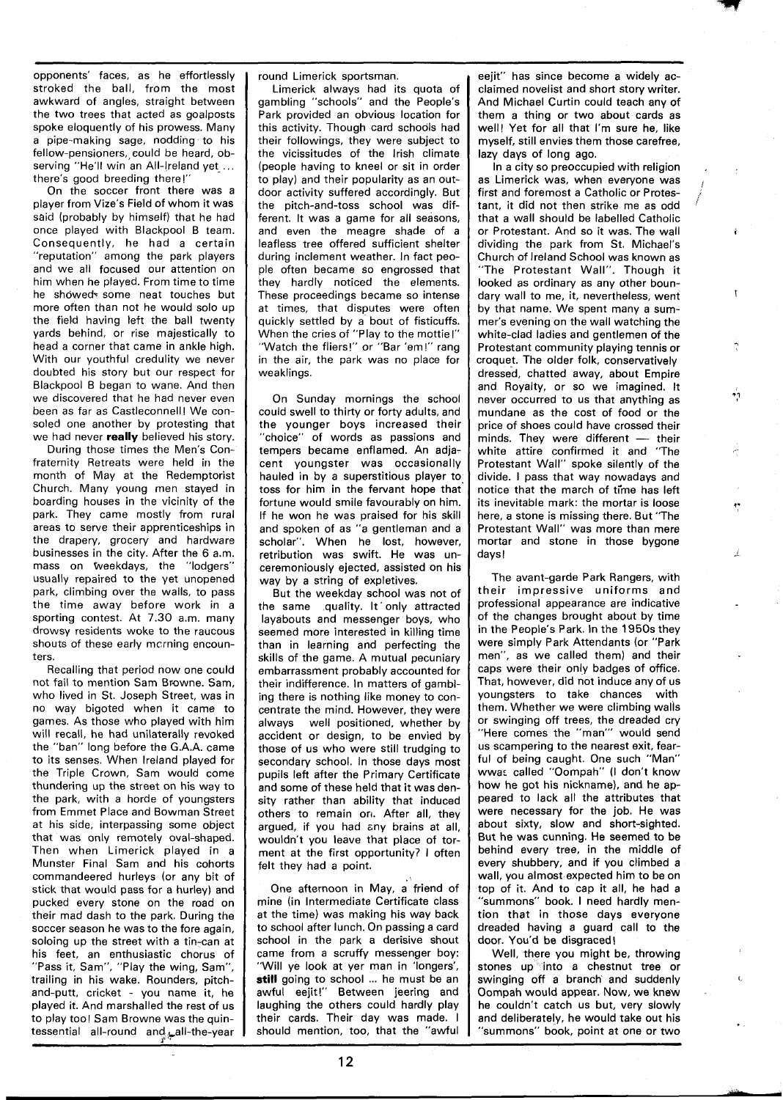opponents' faces, as he effortlessly stroked the ball, from the most awkward of angles, straight between the two trees that acted as goalposts spoke eloquently of his prowess. Many a pipe-making sage, nodding to his fellow-pensioners, could be heard, observing "He'll win an All-Ireland yet ... there's good breeding there!"

On the soccer front there was a player from Vize's Field of whom it was said (probably by himself) that he had once played with Blackpool B team. Consequently, he had a certain "reputation" among the park players and we all focused our attention on him when he played. From time to time he showed- some neat touches but more often than not he would solo up the field having left the ball twenty yards behind, or rise majestically to head a corner that came in ankle high. With our youthful credulity we never doubted his story but our respect for Blackpool B began to wane. And then we discovered that he had never even been as far as Castleconnell! We consoled one another by protesting that we had never **really** believed his story.

During those times the Men's Confraternity Retreats were held in the month of May at the Redemptorist Church. Many young men stayed in boarding houses in the vicinity of the park. They came mostly from rural areas to serve their apprenticeships in the drapery, grocery and hardware businesses in the city. After the 6 a.m. mass on weekdays, the "lodgers" usually repaired to the yet unopened park, climbing over the walls, to pass the time away before work in a sporting contest. At 7.30 a.m. many drowsy residents woke to the raucous shouts of these early mcrning encounters.

Recalling that period now one could not fail to mention Sam Browne. Sam, who lived in St. Joseph Street, was in no way bigoted when it came to games. As those who played with him will recall, he had unilaterally revoked the "ban" long before the G.A.A. came to its senses. When Ireland played for the Triple Crown, Sam would come thundering up the street on his way to the park, with a horde of youngsters from Emmet Place and Bowman Street at his side, interpassing some object that was only remotely oval-shaped. Then when Limerick played in a Munster Final Sam and his cohorts commandeered hurleys (or any bit of stick that would pass for a hurley) and pucked every stone on the road on their mad dash to the park. During the soccer season he was to the fore again, soloing up the street with a tin-can at his feet, an enthusiastic chorus of "Pass it, Sam", "Play the wing, Sam", trailing in his wake. Rounders, pitchand-putt, cricket - you name it, he played it. And marshalled the rest of us to play too! Sam Browne was the quintessential all-round and all-the-year round Limerick sportsman.

Limerick always had its quota of gambling "schools" and the People's Park provided an obvious location for this activity. Though card schools had their followings, they were subject to the vicissitudes of the Irish climate (people having to kneel or sit in order to play) and their popularity as an outdoor activity suffered accordingly. But the pitch-and-toss school was different. It was a game for all seasons, and even the meagre shade of a leafless tree offered sufficient shelter during inclement weather. In fact people often became so engrossed that they hardly noticed the elements. These proceedings became so intense at times, that disputes were often quickly settled by a bout of fisticuffs. When the cries of "Play to the mottie!" "Watch the fliers!" or "Bar 'em!" rang in the air, the park was no place for weaklings.

On Sunday mornings the school could swell to thirty or forty adults, and the younger boys increased their "choice" of words as passions and tempers became enflamed. An adjacent youngster was occasionally hauled in by a superstitious player to, toss for him in the fervant hope that fortune would smile favourably on him. If he won he was praised for his skill and spoken of as "a gentleman and a scholar". When he lost, however, retribution was swift. He was unceremoniously ejected, assisted on his way by a string of expletives.

But the weekday school was not of the same quality. It only attracted layabouts and messenger boys, who seemed more interested in killing time than in learning and perfecting the skills of the game. A mutual pecuniary embarrassment probably accounted for their indifference. In matters of gambling there is nothing like money to concentrate the mind. However, they were always well positioned, whether by accident or design, to be envied by those of us who were still trudging to secondary school. In those days most pupils left after the Primary Certificate and some of these held that it was density rather than ability that induced others to remain orr. After all, they argued, if you had any brains at all, wouldn't you leave that place of torment at the first opportunity? I often felt they had a point.

One afternoon in May, a friend of mine (in Intermediate Certificate class at the time) was making his way back to school after lunch. On passing a card school in the park a derisive shout came from a scruffy messenger boy: "Will ye look at yer man in 'longers', still going to school ... he must be an awful eejit!" Between jeering and laughing the others could hardly play their cards. Their day was made. I should mention, too, that the "awful eejit" has since become a widely acclaimed novelist and short story writer. And Michael Curtin could teach any of them a thing or two about cards as well! Yet for all that I'm sure he, like myself, still envies them those carefree,

lazy days of long ago.<br>In a city so preoccupied with religion as Limerick was, when everyone was first and foremost a Catholic or Protestant, it did not then strike me as odd that a wall should be labelled Catholic or Protestant. And so it was. The wall dividing the park from St. Michael's Church of lreland School was known as "The Protestant Wall". Though it looked as ordinary as any other boundary wall to me, it, nevertheless, went by that name. We spent many a summer's evening on the wall watching the white-clad ladies and gentlemen of the Protestant community playing tennis or croquet. The older folk, conservatively dressed, chatted away, about Empire and Royalty, or so we imagined. It never occurred to us that anything as mundane as the cost of food or the price of shoes could have crossed their  $m$ inds. They were different  $-$  their white attire confirmed it and "The Protestant Wall" spoke silently of the divide. I pass that way nowadays and notice that the march of time has left its inevitable mark: the mortar is loose here, a stone is missing there. But "The Protestant Wall" was more than mere mortar and stone in those bygone days!

The avant-garde Park Rangers, with their impressive uniforms and professional appearance are indicative of the changes brought about by time in the People's Park. In the 1950s they were simply Park Attendants (or "Park men", as we called them) and their caps were their only badges of office. That, however, did not induce any of us youngsters to take chances with them. Whether we were climbing walls or swinging off trees, the dreaded cry "Here comes the "man"' would send us scampering to the nearest exit, fearful of being caught. One such "Man" wwac called "Oompah" (I don't know how he got his nickname), and he appeared to lack all the attributes that were necessary for the job. He was about sixty, slow and short-sighted. But he was cunning. He seemed to be behind every tree, in the middle of every shubbery, and if you climbed a wall, you almost expected him to be on top of it. And to cap it all, he had a "summons" book. I need hardly mention that in those days everyone dreaded having a guard call to the door. You'd be disgraced!

Well, there you might be, throwing stones up into a chestnut tree or swinging off a branch and suddenly Oompah would appear. Now, we knew he couldn't catch us but, very slowly and deliberately, he would take out his "summons" book, point at one or two